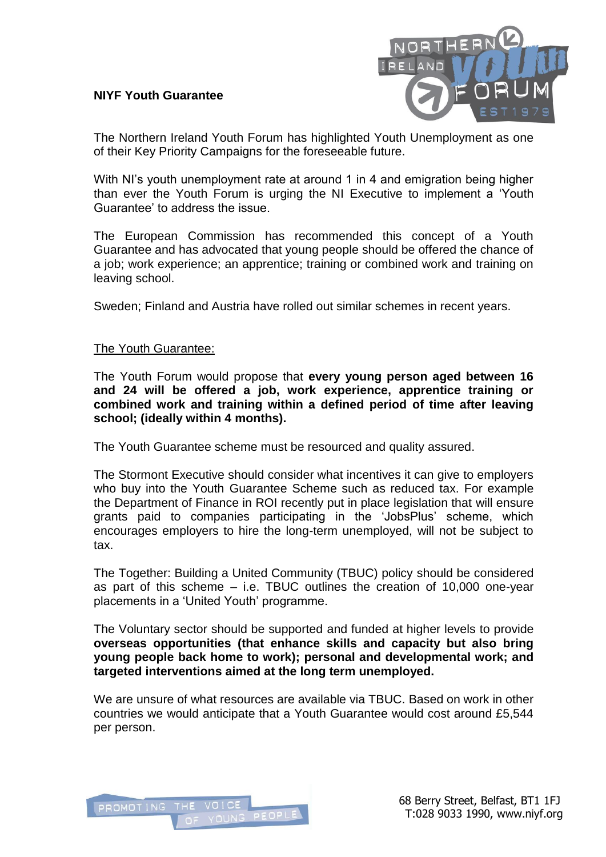## **NIYF Youth Guarantee**



The Northern Ireland Youth Forum has highlighted Youth Unemployment as one of their Key Priority Campaigns for the foreseeable future.

With NI's youth unemployment rate at around 1 in 4 and emigration being higher than ever the Youth Forum is urging the NI Executive to implement a 'Youth Guarantee' to address the issue.

The European Commission has recommended this concept of a Youth Guarantee and has advocated that young people should be offered the chance of a job; work experience; an apprentice; training or combined work and training on leaving school.

Sweden; Finland and Austria have rolled out similar schemes in recent years.

## The Youth Guarantee:

The Youth Forum would propose that **every young person aged between 16 and 24 will be offered a job, work experience, apprentice training or combined work and training within a defined period of time after leaving school; (ideally within 4 months).**

The Youth Guarantee scheme must be resourced and quality assured.

The Stormont Executive should consider what incentives it can give to employers who buy into the Youth Guarantee Scheme such as reduced tax. For example the Department of Finance in ROI recently put in place legislation that will ensure grants paid to companies participating in the 'JobsPlus' scheme, which encourages employers to hire the long-term unemployed, will not be subject to tax.

The Together: Building a United Community (TBUC) policy should be considered as part of this scheme – i.e. TBUC outlines the creation of 10,000 one-year placements in a 'United Youth' programme.

The Voluntary sector should be supported and funded at higher levels to provide **overseas opportunities (that enhance skills and capacity but also bring young people back home to work); personal and developmental work; and targeted interventions aimed at the long term unemployed.** 

We are unsure of what resources are available via TBUC. Based on work in other countries we would anticipate that a Youth Guarantee would cost around £5,544 per person.